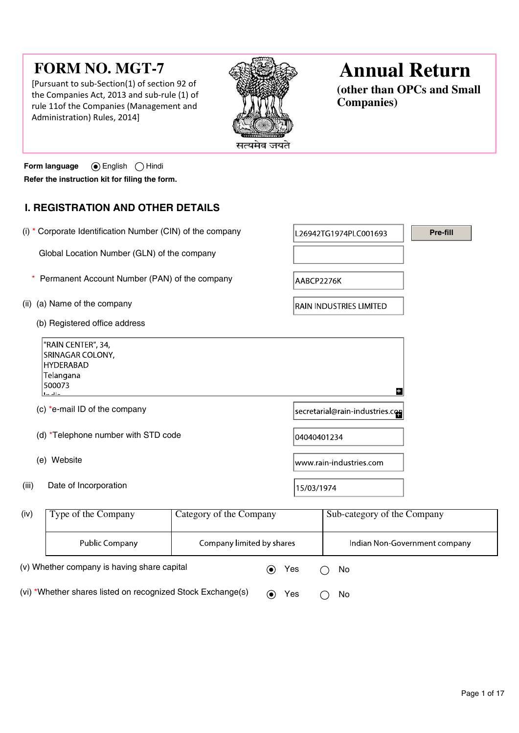# FORM NO. MGT-7

[Pursuant to sub-Section(1) of section 92 of the Companies Act, 2013 and sub-rule (1) of rule 11of the Companies (Management and Administration) Rules, 2014]



# Annual Return

(other than OPCs and Small Companies)

Form language  $\qquad \bigcirc$  English  $\bigcirc$  Hindi Refer the instruction kit for filing the form.

# I. REGISTRATION AND OTHER DETAILS

|       | (i) * Corporate Identification Number (CIN) of the company                                    |                         |             | L26942TG1974PLC001693           | Pre-fill |  |
|-------|-----------------------------------------------------------------------------------------------|-------------------------|-------------|---------------------------------|----------|--|
|       | Global Location Number (GLN) of the company                                                   |                         |             |                                 |          |  |
|       | Permanent Account Number (PAN) of the company                                                 |                         | AABCP2276K  |                                 |          |  |
| (ii)  | (a) Name of the company                                                                       |                         |             | <b>RAIN INDUSTRIES LIMITED</b>  |          |  |
|       | (b) Registered office address                                                                 |                         |             |                                 |          |  |
|       | "RAIN CENTER", 34,<br>SRINAGAR COLONY,<br><b>HYDERABAD</b><br>Telangana<br>500073<br>والألواب |                         |             | H                               |          |  |
|       | (c) *e-mail ID of the company                                                                 |                         |             | secretarial@rain-industries.com |          |  |
|       | (d) *Telephone number with STD code                                                           |                         | 04040401234 |                                 |          |  |
|       | (e) Website                                                                                   |                         |             | www.rain-industries.com         |          |  |
| (iii) | Date of Incorporation                                                                         |                         | 15/03/1974  |                                 |          |  |
| (iv)  | Type of the Company                                                                           | Category of the Company |             | Sub-category of the Company     |          |  |

| (iv) | Type of the Company                                         | Category of the Company   |                          |     | Sub-category of the Company   |
|------|-------------------------------------------------------------|---------------------------|--------------------------|-----|-------------------------------|
|      | Public Company                                              | Company limited by shares |                          |     | Indian Non-Government company |
|      | (v) Whether company is having share capital                 |                           | $\left( \bullet \right)$ | Yes | No                            |
|      | (vi) *Whether shares listed on recognized Stock Exchange(s) |                           | $(\bullet)$              | Yes | No                            |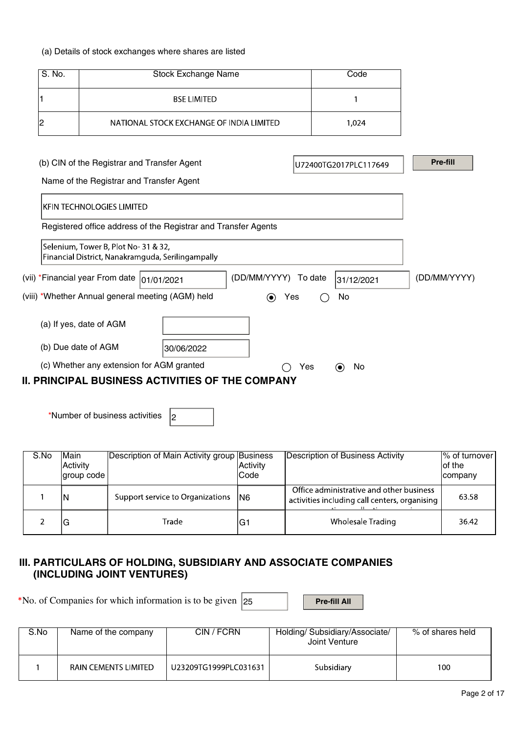# (a) Details of stock exchanges where shares are listed

| S. No.                                                                                   | Code                                                           |                                       |              |
|------------------------------------------------------------------------------------------|----------------------------------------------------------------|---------------------------------------|--------------|
|                                                                                          | <b>BSE LIMITED</b>                                             |                                       |              |
| 2                                                                                        | NATIONAL STOCK EXCHANGE OF INDIA LIMITED                       | 1,024                                 |              |
|                                                                                          |                                                                |                                       |              |
| (b) CIN of the Registrar and Transfer Agent                                              |                                                                | U72400TG2017PLC117649                 | Pre-fill     |
| Name of the Registrar and Transfer Agent                                                 |                                                                |                                       |              |
| <b>KFIN TECHNOLOGIES LIMITED</b>                                                         |                                                                |                                       |              |
|                                                                                          | Registered office address of the Registrar and Transfer Agents |                                       |              |
| Selenium, Tower B, Plot No-31 & 32,<br>Financial District, Nanakramguda, Serilingampally |                                                                |                                       |              |
| (vii) *Financial year From date                                                          | (DD/MM/YYYY)<br>01/01/2021                                     | To date<br>31/12/2021                 | (DD/MM/YYYY) |
| (viii) *Whether Annual general meeting (AGM) held                                        | $\odot$<br>Yes                                                 | No<br>( )                             |              |
| (a) If yes, date of AGM                                                                  |                                                                |                                       |              |
| (b) Due date of AGM                                                                      | 30/06/2022                                                     |                                       |              |
| (c) Whether any extension for AGM granted                                                |                                                                | Yes<br>No<br>$\left( \bullet \right)$ |              |
|                                                                                          | II. PRINCIPAL BUSINESS ACTIVITIES OF THE COMPANY               |                                       |              |

\*Number of business activities  $\vert_2$ 

| S.No | Main<br>Activity<br>group code | Description of Main Activity group Business | Activity<br>lCode | Description of Business Activity                                                          | $ \%$ of turnover<br>lof the<br><b>company</b> |
|------|--------------------------------|---------------------------------------------|-------------------|-------------------------------------------------------------------------------------------|------------------------------------------------|
|      | IN                             | Support service to Organizations   N6       |                   | Office administrative and other business<br>activities including call centers, organising | 63.58                                          |
|      | lG                             | Trade                                       | lG1               | Wholesale Trading                                                                         | 36.42                                          |

# III. PARTICULARS OF HOLDING, SUBSIDIARY AND ASSOCIATE COMPANIES (INCLUDING JOINT VENTURES)

\*No. of Companies for which information is to be given  $\overline{\begin{array}{|c|c|}\n\hline\n25\n\end{array}}$  Pre-fill All

| S.No | Name of the company         | CIN / FCRN            | Holding/Subsidiary/Associate/<br>Joint Venture | % of shares held |  |
|------|-----------------------------|-----------------------|------------------------------------------------|------------------|--|
|      | <b>RAIN CEMENTS LIMITED</b> | U23209TG1999PLC031631 | Subsidiary                                     | 100              |  |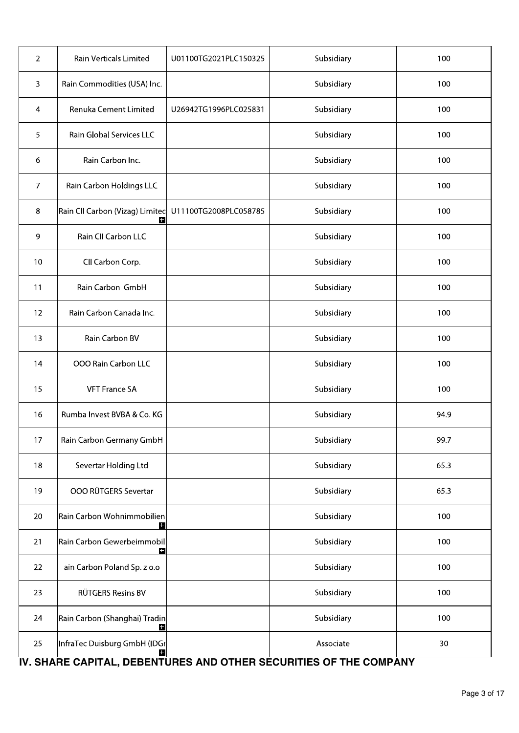| 2              | Rain Verticals Limited               | U01100TG2021PLC150325 | Subsidiary | 100  |
|----------------|--------------------------------------|-----------------------|------------|------|
| 3              | Rain Commodities (USA) Inc.          |                       | Subsidiary | 100  |
| $\overline{4}$ | Renuka Cement Limited                | U26942TG1996PLC025831 | Subsidiary | 100  |
| 5              | Rain Global Services LLC             |                       | Subsidiary | 100  |
| 6              | Rain Carbon Inc.                     |                       | Subsidiary | 100  |
| $\overline{7}$ | Rain Carbon Holdings LLC             |                       | Subsidiary | 100  |
| 8              | Rain CII Carbon (Vizag) Limited<br>H | U11100TG2008PLC058785 | Subsidiary | 100  |
| $\overline{9}$ | Rain CII Carbon LLC                  |                       | Subsidiary | 100  |
| 10             | CII Carbon Corp.                     |                       | Subsidiary | 100  |
| 11             | Rain Carbon GmbH                     |                       | Subsidiary | 100  |
| 12             | Rain Carbon Canada Inc.              |                       | Subsidiary | 100  |
| 13             | Rain Carbon BV                       |                       | Subsidiary | 100  |
| 14             | <b>OOO Rain Carbon LLC</b>           |                       | Subsidiary | 100  |
| 15             | <b>VFT France SA</b>                 |                       | Subsidiary | 100  |
| 16             | Rumba Invest BVBA & Co. KG           |                       | Subsidiary | 94.9 |
| 17             | Rain Carbon Germany GmbH             |                       | Subsidiary | 99.7 |
| 18             | Severtar Holding Ltd                 |                       | Subsidiary | 65.3 |
| 19             | OOO RÜTGERS Severtar                 |                       | Subsidiary | 65.3 |
| 20             | Rain Carbon Wohnimmobilien<br>H      |                       | Subsidiary | 100  |
| 21             | Rain Carbon Gewerbeimmobil<br>Ð      |                       | Subsidiary | 100  |
| 22             | ain Carbon Poland Sp. z o.o          |                       | Subsidiary | 100  |
| 23             | RÜTGERS Resins BV                    |                       | Subsidiary | 100  |
| 24             | Rain Carbon (Shanghai) Tradin<br>н   |                       | Subsidiary | 100  |
| 25             | InfraTec Duisburg GmbH (IDGr<br>H    |                       | Associate  | 30   |

# IV. SHARE CAPITAL, DEBENTURES AND OTHER SECURITIES OF THE COMPANY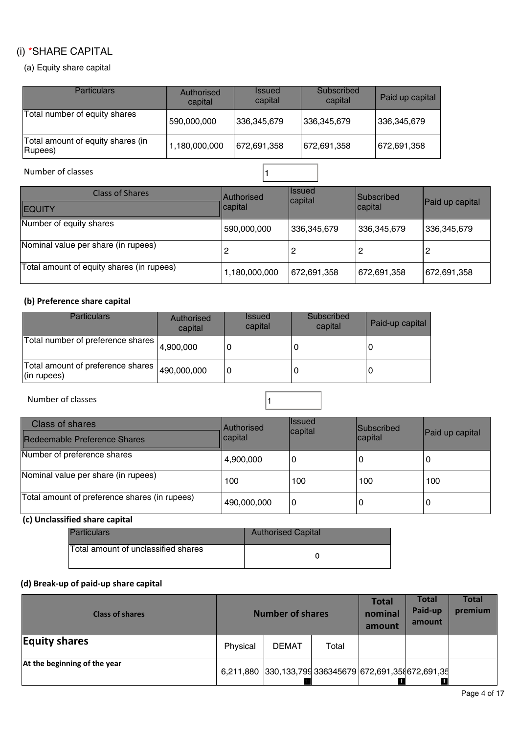# (i) \*SHARE CAPITAL

(a) Equity share capital

| <b>Particulars</b>                           | Authorised<br>capital | <b>Issued</b><br>capital | Subscribed<br>capital | Paid up capital |
|----------------------------------------------|-----------------------|--------------------------|-----------------------|-----------------|
| Total number of equity shares                | 590,000,000           | 336,345,679              | 336,345,679           | 336,345,679     |
| Total amount of equity shares (in<br>Rupees) | ,180,000,000          | 672,691,358              | 672,691,358           | 672,691,358     |

# Number of classes  $\sqrt{1}$

| <b>Class of Shares</b>                    | Authorised    | <b>Issued</b><br>capital | <b>Subscribed</b> | Paid up capital |  |
|-------------------------------------------|---------------|--------------------------|-------------------|-----------------|--|
| <b>IEQUITY</b>                            | capital       |                          | capital           |                 |  |
| Number of equity shares                   | 590,000,000   | 336,345,679              | 336,345,679       | 336,345,679     |  |
| Nominal value per share (in rupees)       |               | 2                        | 2                 |                 |  |
| Total amount of equity shares (in rupees) | 1,180,000,000 | 672,691,358              | 672,691,358       | 672,691,358     |  |

# (b) Preference share capital

| <b>Particulars</b>                               | Authorised<br>capital | <b>Issued</b><br>capital | Subscribed<br>capital | Paid-up capital |
|--------------------------------------------------|-----------------------|--------------------------|-----------------------|-----------------|
| Total number of preference shares                | 4,900,000             | ۱G                       | 0                     | 0               |
| Total amount of preference shares<br>(in rupees) | 490,000,000           | 0 ا                      | 0                     | 0               |

Number of classes and the set of classes and the set of classes and the set of  $\vert$  1

| Class of shares<br>Redeemable Preference Shares | Authorised<br>capital | <b>Issued</b><br>capital | <b>Subscribed</b><br> capital | Paid up capital |
|-------------------------------------------------|-----------------------|--------------------------|-------------------------------|-----------------|
| Number of preference shares                     | (4,900,000            | 0                        |                               | U               |
| Nominal value per share (in rupees)             | 100                   | 100                      | 100                           | 100             |
| Total amount of preference shares (in rupees)   | 490,000,000           | 0                        | U                             | 0               |

# (c) Unclassified share capital

| Particulars                         | <b>Authorised Capital</b> |
|-------------------------------------|---------------------------|
| Total amount of unclassified shares |                           |

# (d) Break-up of paid-up share capital

| <b>Class of shares</b>       | <b>Number of shares</b> |                                                        |       | <b>Total</b><br>nominal<br>amount | <b>Total</b><br>Paid-up<br>amount | <b>Total</b><br>premium |
|------------------------------|-------------------------|--------------------------------------------------------|-------|-----------------------------------|-----------------------------------|-------------------------|
| <b>Equity shares</b>         | Physical                | <b>DEMAT</b>                                           | Total |                                   |                                   |                         |
| At the beginning of the year |                         | 6,211,880 330,133,799 336345679 672,691,358 672,691,35 |       |                                   | $\pm$                             |                         |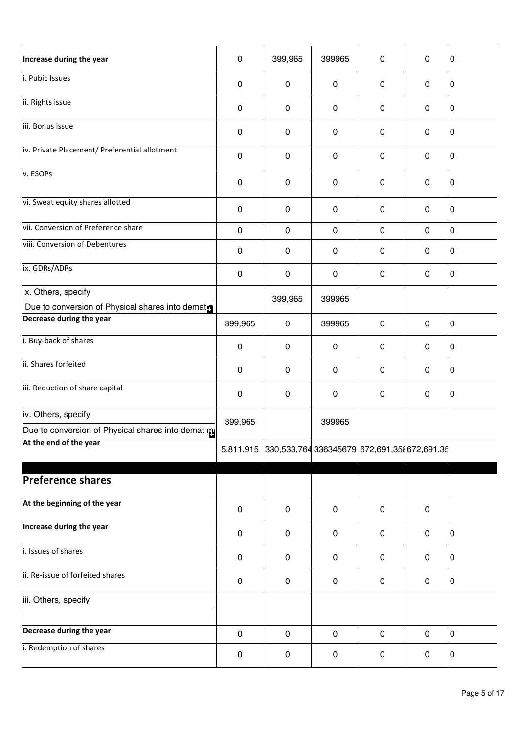| Increase during the year                           | 0         | 399,965                                                | 399965              | $\pmb{0}$           | $\mathbf 0$         | I٥ |
|----------------------------------------------------|-----------|--------------------------------------------------------|---------------------|---------------------|---------------------|----|
| i. Pubic Issues                                    | 0         | $\mathbf 0$                                            | $\mathbf 0$         | $\mathbf 0$         | $\mathbf 0$         | I٥ |
| ii. Rights issue                                   | $\pmb{0}$ | $\mathbf 0$                                            | $\mathbf 0$         | 0                   | $\mathbf 0$         | 10 |
| iii. Bonus issue                                   | 0         | $\pmb{0}$                                              | $\pmb{0}$           | $\pmb{0}$           | $\mathbf 0$         | I٥ |
| iv. Private Placement/ Preferential allotment      | 0         | $\pmb{0}$                                              | $\mathbf 0$         | 0                   | $\mathbf 0$         | 0  |
| v. ESOPs                                           | 0         | $\pmb{0}$                                              | $\mathbf 0$         | $\pmb{0}$           | $\mathbf 0$         | 10 |
| vi. Sweat equity shares allotted                   | 0         | $\mathbf 0$                                            | $\mathbf 0$         | $\mathbf 0$         | $\mathbf 0$         | I٥ |
| vii. Conversion of Preference share                | $\pmb{0}$ | $\mathbf 0$                                            | $\mathsf{O}\xspace$ | $\mathsf{O}\xspace$ | $\mathbf 0$         | O  |
| viii. Conversion of Debentures                     | 0         | $\pmb{0}$                                              | $\pmb{0}$           | $\pmb{0}$           | $\mathbf 0$         | 10 |
| ix. GDRs/ADRs                                      | 0         | $\mathbf 0$                                            | 0                   | 0                   | $\mathsf{O}\xspace$ | 10 |
| x. Others, specify                                 |           | 399,965                                                | 399965              |                     |                     |    |
| Due to conversion of Physical shares into dematral |           |                                                        |                     |                     |                     |    |
| Decrease during the year                           | 399,965   | $\mathbf 0$                                            | 399965              | $\mathbf 0$         | $\pmb{0}$           | I٥ |
| i. Buy-back of shares                              | 0         | $\pmb{0}$                                              | $\pmb{0}$           | $\pmb{0}$           | $\pmb{0}$           | 10 |
| ii. Shares forfeited                               | 0         | $\pmb{0}$                                              | $\mathbf 0$         | $\mathbf 0$         | $\mathbf 0$         | I٥ |
| iii. Reduction of share capital                    | 0         | $\mathbf 0$                                            | $\mathbf 0$         | 0                   | $\mathbf 0$         | 10 |
| iv. Others, specify                                | 399,965   |                                                        | 399965              |                     |                     |    |
| Due to conversion of Physical shares into demat m  |           |                                                        |                     |                     |                     |    |
| At the end of the year                             |           | 5,811,915 330,533,764 336345679 672,691,358 672,691,35 |                     |                     |                     |    |
| <b>Preference shares</b>                           |           |                                                        |                     |                     |                     |    |
| At the beginning of the year                       | $\pmb{0}$ | $\mathsf{O}$                                           | $\mathbf 0$         | $\mathbf 0$         | $\mathbf 0$         |    |
| Increase during the year                           | 0         | $\mathbf 0$                                            | $\mathbf 0$         | $\mathbf 0$         | $\mathbf 0$         | 10 |
| i. Issues of shares                                | 0         | $\mathbf 0$                                            | 0                   | 0                   | $\mathbf 0$         | ١O |
| ii. Re-issue of forfeited shares                   | 0         | $\mathbf 0$                                            | 0                   | 0                   | $\mathsf{O}\xspace$ | 0  |
| iii. Others, specify                               |           |                                                        |                     |                     |                     |    |
| Decrease during the year                           | $\pmb{0}$ | $\mathbf 0$                                            | $\mathbf 0$         | $\mathbf 0$         | $\mathbf 0$         | 10 |
| i. Redemption of shares                            | 0         | 0                                                      | 0                   | 0                   | $\mathbf 0$         | 10 |
|                                                    |           |                                                        |                     |                     |                     |    |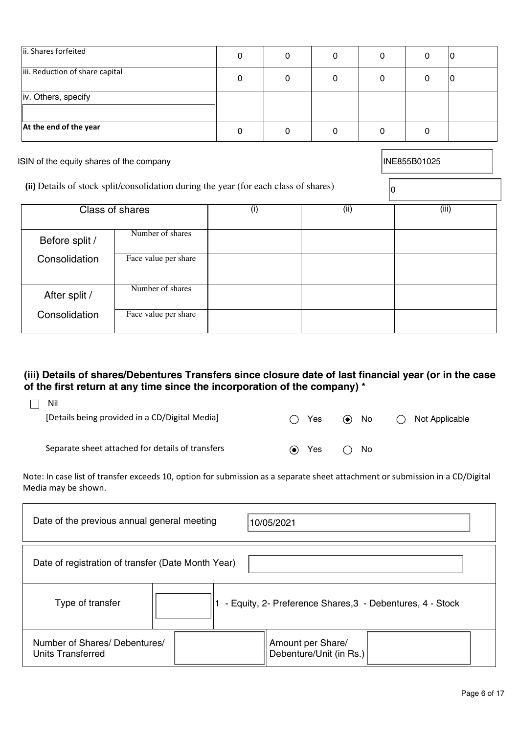| ii. Shares forfeited                                                                 | $\mathbf 0$ | 0           | $\mathbf 0$ | $\Omega$    | $\mathbf 0$  |       |
|--------------------------------------------------------------------------------------|-------------|-------------|-------------|-------------|--------------|-------|
| iii. Reduction of share capital                                                      | $\mathbf 0$ | $\mathbf 0$ | $\mathbf 0$ | $\mathbf 0$ | $\mathbf 0$  |       |
| iv. Others, specify                                                                  |             |             |             |             |              |       |
| At the end of the year                                                               | $\mathbf 0$ | $\mathbf 0$ | $\mathbf 0$ | 0           | $\mathbf 0$  |       |
| ISIN of the equity shares of the company                                             |             |             |             |             | INE855B01025 |       |
| (ii) Details of stock split/consolidation during the year (for each class of shares) |             |             |             |             |              |       |
| Class of shares                                                                      | (i)         |             | (ii)        |             |              | (iii) |

r

| <b>Class of shares</b> |                      | (1) | (ii) | (iii) |
|------------------------|----------------------|-----|------|-------|
| Before split /         | Number of shares     |     |      |       |
| Consolidation          | Face value per share |     |      |       |
| After split /          | Number of shares     |     |      |       |
| Consolidation          | Face value per share |     |      |       |

# (iii) Details of shares/Debentures Transfers since closure date of last financial year (or in the case of the first return at any time since the incorporation of the company) \*

| Nil<br>[Details being provided in a CD/Digital Media] | $\rightarrow$ | Yes | $\odot$ | No | Not Applicable |
|-------------------------------------------------------|---------------|-----|---------|----|----------------|
| Separate sheet attached for details of transfers      | (●)           | Yes |         | No |                |

Note: In case list of transfer exceeds 10, option for submission as a separate sheet attachment or submission in a CD/Digital Media may be shown.

| Date of the previous annual general meeting        | 10/05/2021                                                |
|----------------------------------------------------|-----------------------------------------------------------|
| Date of registration of transfer (Date Month Year) |                                                           |
| Type of transfer                                   | - Equity, 2- Preference Shares, 3 - Debentures, 4 - Stock |
| Number of Shares/ Debentures/<br>Units Transferred | Amount per Share/<br>Debenture/Unit (in Rs.)              |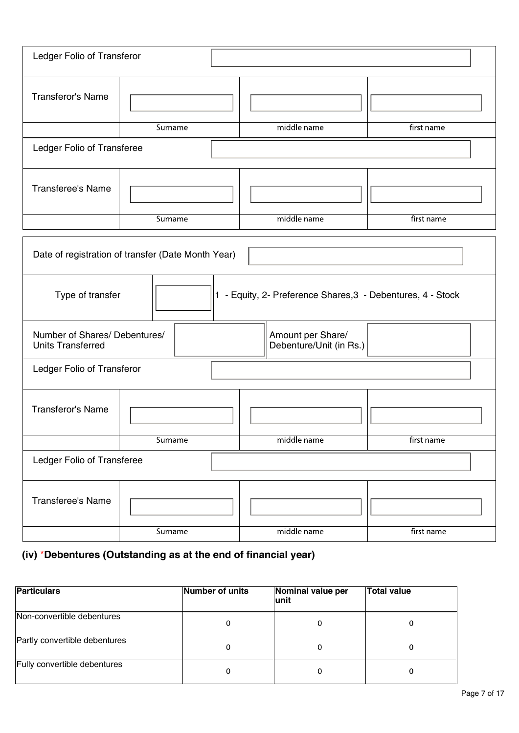| Ledger Folio of Transferor                                |                                                    |                                                             |            |
|-----------------------------------------------------------|----------------------------------------------------|-------------------------------------------------------------|------------|
| Transferor's Name                                         |                                                    |                                                             |            |
|                                                           | Surname                                            | middle name                                                 | first name |
| Ledger Folio of Transferee                                |                                                    |                                                             |            |
| <b>Transferee's Name</b>                                  |                                                    |                                                             |            |
|                                                           | Surname                                            | middle name                                                 | first name |
|                                                           | Date of registration of transfer (Date Month Year) |                                                             |            |
| Type of transfer                                          |                                                    | 1 - Equity, 2- Preference Shares, 3 - Debentures, 4 - Stock |            |
| Number of Shares/ Debentures/<br><b>Units Transferred</b> |                                                    | Amount per Share/<br>Debenture/Unit (in Rs.)                |            |
| Ledger Folio of Transferor                                |                                                    |                                                             |            |
| Transferor's Name                                         |                                                    |                                                             |            |
|                                                           | Surname                                            | middle name                                                 | first name |
| Ledger Folio of Transferee                                |                                                    |                                                             |            |
| Transferee's Name                                         |                                                    |                                                             |            |
|                                                           | Surname                                            | middle name                                                 | first name |

# (iv) \*Debentures (Outstanding as at the end of financial year)

| <b>Particulars</b>            | Number of units | Nominal value per<br>lunit | <b>Total value</b> |
|-------------------------------|-----------------|----------------------------|--------------------|
| Non-convertible debentures    | 0               |                            |                    |
| Partly convertible debentures | 0               |                            |                    |
| Fully convertible debentures  | 0               |                            |                    |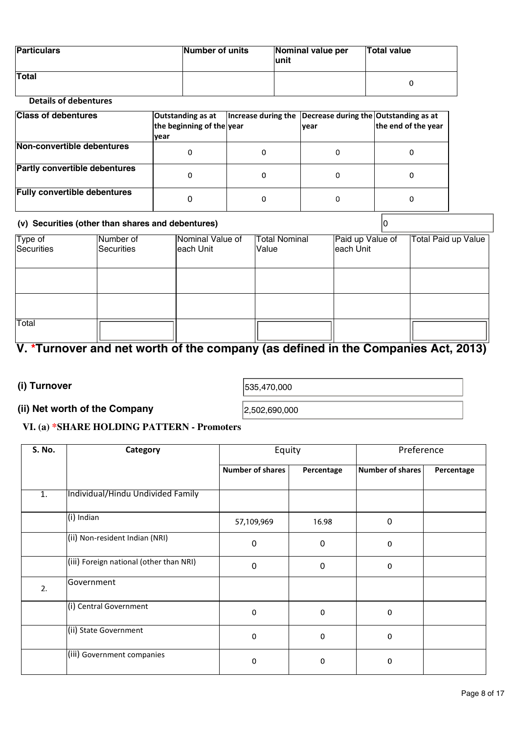| <b>Particulars</b> | Number of units | Nominal value per<br>lunit | Total value |
|--------------------|-----------------|----------------------------|-------------|
| <b>Total</b>       |                 |                            |             |

# Details of debentures

| <b>Class of debentures</b>           | Outstanding as at<br>the beginning of the year<br> year | Increase during the Decrease during the Outstanding as at<br> vear | the end of the year |
|--------------------------------------|---------------------------------------------------------|--------------------------------------------------------------------|---------------------|
| Non-convertible debentures           | 0                                                       |                                                                    |                     |
| <b>Partly convertible debentures</b> | 0                                                       |                                                                    |                     |
| <b>Fully convertible debentures</b>  | 0                                                       |                                                                    |                     |

# (v) Securities (other than shares and debentures)  $\vert 0 \rangle$

|                       | Number of  | Nominal Value of | <b>Total Nominal</b> | Paid up Value of | Total Paid up Value |
|-----------------------|------------|------------------|----------------------|------------------|---------------------|
| Type of<br>Securities | Securities | each Unit        | Value                | each Unit        |                     |
|                       |            |                  |                      |                  |                     |
|                       |            |                  |                      |                  |                     |
|                       |            |                  |                      |                  |                     |
| Total                 |            |                  |                      |                  |                     |

# V. \*Turnover and net worth of the company (as defined in the Companies Act, 2013)

# (i) Turnover  $_{535,470,000}$

# (ii) Net worth of the Company  $|_{2,502,690,000}$

# VI. (a) \*SHARE HOLDING PATTERN - Promoters

| S. No.         | Category                                | Equity                  |             | Preference       |            |  |
|----------------|-----------------------------------------|-------------------------|-------------|------------------|------------|--|
|                |                                         | <b>Number of shares</b> | Percentage  | Number of shares | Percentage |  |
| $\mathbf{1}$ . | Individual/Hindu Undivided Family       |                         |             |                  |            |  |
|                | (i) Indian                              | 57,109,969              | 16.98       | $\Omega$         |            |  |
|                | (ii) Non-resident Indian (NRI)          | $\mathbf 0$             | $\mathbf 0$ | $\mathbf 0$      |            |  |
|                | (iii) Foreign national (other than NRI) | $\mathbf 0$             | $\mathbf 0$ | $\mathbf 0$      |            |  |
| 2.             | Government                              |                         |             |                  |            |  |
|                | (i) Central Government                  | $\mathbf 0$             | $\mathbf 0$ | $\mathbf 0$      |            |  |
|                | (ii) State Government                   | $\mathbf 0$             | $\pmb{0}$   | $\mathbf 0$      |            |  |
|                | (iii) Government companies              | $\mathbf 0$             | $\mathbf 0$ | $\mathbf 0$      |            |  |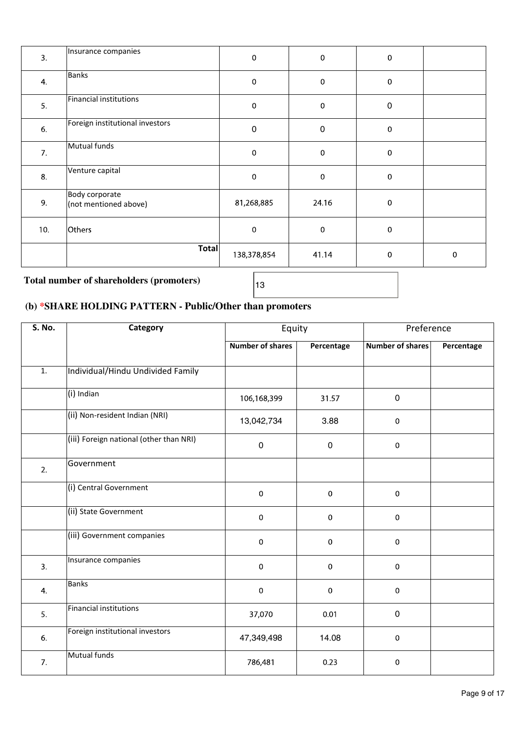| 3.  | Insurance companies                     | $\mathbf 0$  | $\mathbf 0$ | $\pmb{0}$        |             |  |
|-----|-----------------------------------------|--------------|-------------|------------------|-------------|--|
| 4.  | <b>Banks</b>                            | $\mathbf 0$  | 0           | $\pmb{0}$        |             |  |
| 5.  | Financial institutions                  | $\mathbf 0$  | $\mathbf 0$ | $\pmb{0}$        |             |  |
| 6.  | Foreign institutional investors         | $\pmb{0}$    | $\pmb{0}$   | $\boldsymbol{0}$ |             |  |
| 7.  | Mutual funds                            | $\mathbf 0$  | $\pmb{0}$   | $\pmb{0}$        |             |  |
| 8.  | Venture capital                         | $\mathbf{0}$ | $\pmb{0}$   | $\pmb{0}$        |             |  |
| 9.  | Body corporate<br>(not mentioned above) | 81,268,885   | 24.16       | $\pmb{0}$        |             |  |
| 10. | Others                                  | $\mathbf{0}$ | $\mathbf 0$ | $\pmb{0}$        |             |  |
|     | <b>Total</b>                            | 138,378,854  | 41.14       | $\pmb{0}$        | $\mathbf 0$ |  |

# Total number of shareholders (promoters)  $\frac{13}{13}$

# (b) \*SHARE HOLDING PATTERN - Public/Other than promoters

| S. No. | Category                                | Equity                  |              | Preference              |            |
|--------|-----------------------------------------|-------------------------|--------------|-------------------------|------------|
|        |                                         | <b>Number of shares</b> | Percentage   | <b>Number of shares</b> | Percentage |
| 1.     | Individual/Hindu Undivided Family       |                         |              |                         |            |
|        | (i) Indian                              | 106,168,399             | 31.57        | 0                       |            |
|        | (ii) Non-resident Indian (NRI)          | 13,042,734              | 3.88         | $\mathbf 0$             |            |
|        | (iii) Foreign national (other than NRI) | 0                       | $\mathbf 0$  | $\mathbf 0$             |            |
| 2.     | Government                              |                         |              |                         |            |
|        | (i) Central Government                  | $\mathbf 0$             | $\mathbf{0}$ | $\mathbf 0$             |            |
|        | (ii) State Government                   | $\overline{0}$          | $\mathbf 0$  | $\mathbf 0$             |            |
|        | (iii) Government companies              | $\mathbf 0$             | $\mathbf 0$  | $\mathbf 0$             |            |
| 3.     | Insurance companies                     | $\mathbf 0$             | $\mathbf{0}$ | $\pmb{0}$               |            |
| 4.     | <b>Banks</b>                            | $\mathbf 0$             | $\mathbf{0}$ | $\mathbf 0$             |            |
| 5.     | Financial institutions                  | 37,070                  | 0.01         | 0                       |            |
| 6.     | Foreign institutional investors         | 47,349,498              | 14.08        | $\mathbf 0$             |            |
| 7.     | Mutual funds                            | 786,481                 | 0.23         | $\mathbf 0$             |            |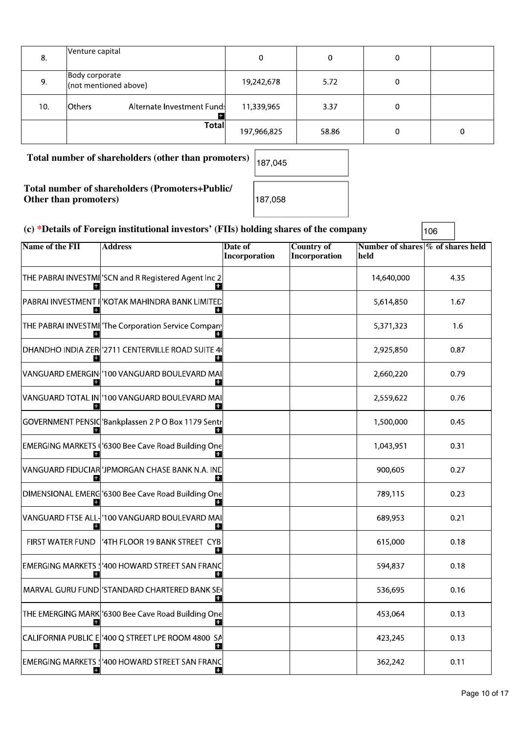| 8.  | Venture capital                                    | 0           | 0     | 0 |   |
|-----|----------------------------------------------------|-------------|-------|---|---|
| 9.  | Body corporate<br>(not mentioned above)            | 19,242,678  | 5.72  | 0 |   |
| 10. | Alternate Investment Fund:<br><b>lOthers</b><br>Æ. | 11,339,965  | 3.37  | 0 |   |
|     | <b>Total</b>                                       | 197,966,825 | 58.86 | 0 | 0 |

Total number of shareholders (other than promoters)  $\left| \frac{187,045}{187,045} \right|$ 

Total number of shareholders (Promoters+Public/ Other than promoters) 187,058

# (c) \*Details of Foreign institutional investors' (FIIs) holding shares of the company  $|_{106}$

Name of the FII Address Date of Country of Country of Mumber of shares | % of shares held held Incorporation Incorporation THE PABRAI INVESTMI: SCN and R Registered Agent Inc 2 14,640,000 4.35 PABRAI INVESTMENT I¦'KOTAK MAHINDRA BANK LIMITED 5,614,850 1.67 THE PABRAI INVESTMI The Corporation Service Company 5,371,323 1.6 DHANDHO INDIA ZER('2711 CENTERVILLE ROAD SUITE 40 2,925,850 0.87 Ŧ H. VANGUARD EMERGIN 100 VANGUARD BOULEVARD MAI 2,660,220 0.79 п VANGUARD TOTAL IN 100 VANGUARD BOULEVARD MAI 0.76 2,559,622 B GOVERNMENT PENSIC 'Bankplassen 2 P O Box 1179 Sentr 1,500,000 0.45 H. EMERGING MARKETS ('6300 Bee Cave Road Building One 1,043,951 0.31 VANGUARD FIDUCIAR 'JPMORGAN CHASE BANK N.A. IND 900,605 0.27 DIMENSIONAL EMERG<sup>1</sup>6300 Bee Cave Road Building One 789.115  $0.23$ VANGUARD FTSE ALL-100 VANGUARD BOULEVARD MAI 689,953  $0.21$ H FIRST WATER FUND |'4TH FLOOR 19 BANK STREET CYB 615,000 0.18 EMERGING MARKETS : '400 HOWARD STREET SAN FRANC 594,837 0.18 П MARVAL GURU FUND STANDARD CHARTERED BANK SE 0.16 536,695 THE EMERGING MARK '6300 Bee Cave Road Building One 453,064  $0.13$ Н в CALIFORNIA PUBLIC E 400 Q STREET LPE ROOM 4800 SA 423.245  $0.13$ E. m EMERGING MARKETS \'400 HOWARD STREET SAN FRANC 362,242  $0.11$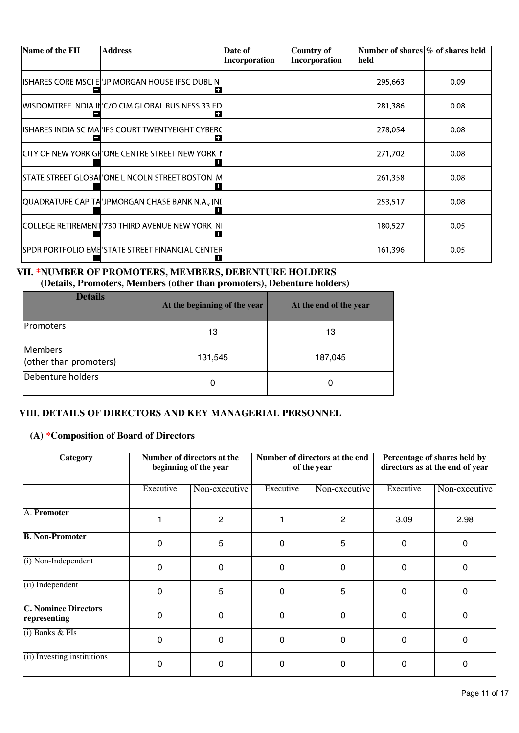| Name of the FII | <b>Address</b>                                     | Date of<br>Incorporation | <b>Country of</b><br>Incorporation | Number of shares \% of shares held<br>held |      |
|-----------------|----------------------------------------------------|--------------------------|------------------------------------|--------------------------------------------|------|
|                 | ISHARES CORE MSCI E 'JP MORGAN HOUSE IFSC DUBLIN   |                          |                                    | 295,663                                    | 0.09 |
|                 | WISDOMTREE INDIA IN'C/O CIM GLOBAL BUSINESS 33 ED  |                          |                                    | 281,386                                    | 0.08 |
|                 | ISHARES INDIA SC MA 'IFS COURT TWENTYEIGHT CYBERC  |                          |                                    | 278,054                                    | 0.08 |
|                 | CITY OF NEW YORK GF 'ONE CENTRE STREET NEW YORK    |                          |                                    | 271,702                                    | 0.08 |
|                 | STATE STREET GLOBAII'ONE LINCOLN STREET BOSTON M   |                          |                                    | 261,358                                    | 0.08 |
|                 | QUADRATURE CAPITA 'JPMORGAN CHASE BANK N.A., INI   |                          |                                    | 253,517                                    | 0.08 |
|                 | COLLEGE RETIREMENT 730 THIRD AVENUE NEW YORK NI    |                          |                                    | 180,527                                    | 0.05 |
|                 | ISPDR PORTFOLIO EMEI'STATE STREET FINANCIAL CENTER |                          |                                    | 161,396                                    | 0.05 |

# VII. \*NUMBER OF PROMOTERS, MEMBERS, DEBENTURE HOLDERS (Details, Promoters, Members (other than promoters), Debenture holders)

| <b>Details</b>                    | At the beginning of the year | At the end of the year |
|-----------------------------------|------------------------------|------------------------|
| Promoters                         | 13                           | 13                     |
| Members<br>(other than promoters) | 131,545                      | 187,045                |
| Debenture holders                 | 0                            | 0                      |

# VIII. DETAILS OF DIRECTORS AND KEY MANAGERIAL PERSONNEL<br>(A) \*Composition of Board of Directors

| <b>Category</b>                             |           | Number of directors at the<br>beginning of the year | Number of directors at the end<br>of the year |                | Percentage of shares held by<br>directors as at the end of year |               |
|---------------------------------------------|-----------|-----------------------------------------------------|-----------------------------------------------|----------------|-----------------------------------------------------------------|---------------|
|                                             | Executive | Non-executive                                       | Executive                                     | Non-executive  | Executive                                                       | Non-executive |
| A. Promoter                                 |           | 2                                                   |                                               | $\overline{2}$ | 3.09                                                            | 2.98          |
| <b>B. Non-Promoter</b>                      | 0         | 5                                                   | 0                                             | 5              | $\mathbf{0}$                                                    | $\Omega$      |
| $(i)$ Non-Independent                       | 0         | 0                                                   | 0                                             | $\Omega$       | $\mathbf{0}$                                                    | $\Omega$      |
| $(i)$ Independent                           | 0         | 5                                                   | 0                                             | 5              | $\mathbf{0}$                                                    | $\Omega$      |
| <b>C. Nominee Directors</b><br>representing | 0         | 0                                                   | 0                                             | $\Omega$       | 0                                                               | $\Omega$      |
| $(i)$ Banks & FIs                           | 0         | 0                                                   | 0                                             | $\Omega$       | $\Omega$                                                        | $\Omega$      |
| (ii) Investing institutions                 | 0         | $\mathbf{0}$                                        | 0                                             | $\mathbf{0}$   | $\Omega$                                                        | $\Omega$      |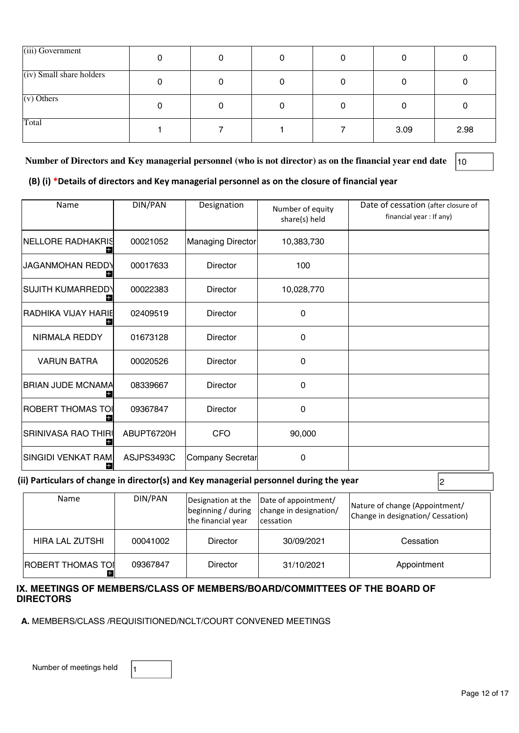| (iii) Government           |  |   |      |      |
|----------------------------|--|---|------|------|
| $(iv)$ Small share holders |  |   |      |      |
| $(v)$ Others               |  | 0 |      |      |
| Total                      |  |   | 3.09 | 2.98 |

Number of Directors and Key managerial personnel (who is not director) as on the financial year end date |10

(B) (i) \*Details of directors and Key managerial personnel as on the closure of financial year

| Name                     | <b>DIN/PAN</b> | Designation       | Number of equity<br>share(s) held | Date of cessation (after closure of<br>financial year : If any) |
|--------------------------|----------------|-------------------|-----------------------------------|-----------------------------------------------------------------|
| <b>NELLORE RADHAKRIS</b> | 00021052       | Managing Director | 10,383,730                        |                                                                 |
| <b>JAGANMOHAN REDDY</b>  | 00017633       | <b>Director</b>   | 100                               |                                                                 |
| SUJITH KUMARREDD\        | 00022383       | Director          | 10,028,770                        |                                                                 |
| RADHIKA VIJAY HARIE      | 02409519       | <b>Director</b>   | 0                                 |                                                                 |
| NIRMALA REDDY            | 01673128       | <b>Director</b>   | 0                                 |                                                                 |
| <b>VARUN BATRA</b>       | 00020526       | Director          | 0                                 |                                                                 |
| <b>BRIAN JUDE MCNAMA</b> | 08339667       | Director          | 0                                 |                                                                 |
| ROBERT THOMAS TOI        | 09367847       | <b>Director</b>   | 0                                 |                                                                 |
| SRINIVASA RAO THIRI∣     | ABUPT6720H     | <b>CFO</b>        | 90,000                            |                                                                 |
| SINGIDI VENKAT RAM.      | ASJPS3493C     | Company Secretar  | 0                                 |                                                                 |

# (ii) Particulars of change in director(s) and Key managerial personnel during the year  $\vert_2$

| Name                     | DIN/PAN  | the financial year | Designation at the  Date of appointment/<br> beginning / during   change in designation/<br>cessation | Nature of change (Appointment/<br>Change in designation/ Cessation) |
|--------------------------|----------|--------------------|-------------------------------------------------------------------------------------------------------|---------------------------------------------------------------------|
| HIRA LAL ZUTSHI          | 00041002 | Director           | 30/09/2021                                                                                            | Cessation                                                           |
| <b>ROBERT THOMAS TOI</b> | 09367847 | Director           | 31/10/2021                                                                                            | Appointment                                                         |

# IX. MEETINGS OF MEMBERS/CLASS OF MEMBERS/BOARD/COMMITTEES OF THE BOARD OF **DIRECTORS**

A. MEMBERS/CLASS /REQUISITIONED/NCLT/COURT CONVENED MEETINGS

Number of meetings held  $\vert$ <sup>1</sup>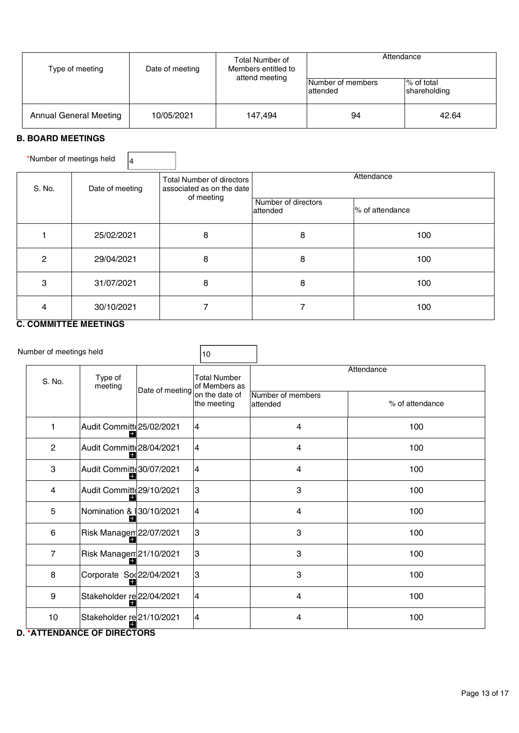| Type of meeting               | Date of meeting | Total Number of<br>Members entitled to<br>attend meeting | Attendance<br>Ⅰ% of total<br>Number of members |                       |
|-------------------------------|-----------------|----------------------------------------------------------|------------------------------------------------|-----------------------|
| <b>Annual General Meeting</b> | 10/05/2021      | 147.494                                                  | attended<br>94                                 | shareholding<br>42.64 |

# B. BOARD MEETINGS

\*Number of meetings held  $\sqrt{4}$ 

| S. No. | Date of meeting        | Total Number of directors<br>associated as on the date |                                 | Attendance      |
|--------|------------------------|--------------------------------------------------------|---------------------------------|-----------------|
|        |                        | of meeting                                             | Number of directors<br>attended | % of attendance |
|        | 25/02/2021             | 8                                                      | 8                               | 100             |
| 2      | 29/04/2021             | 8                                                      | 8                               | 100             |
| 3      | 31/07/2021             | 8                                                      | 8                               | 100             |
|        | 30/10/2021             |                                                        |                                 | 100             |
|        | - -------------------- |                                                        |                                 |                 |

# C. COMMITTEE MEETINGS

|                  | Number of meetings held             |                 | 10                                   |                                |                 |
|------------------|-------------------------------------|-----------------|--------------------------------------|--------------------------------|-----------------|
| S. No.           | Type of<br>meeting                  |                 | <b>Total Number</b><br>of Members as |                                | Attendance      |
|                  |                                     | Date of meeting | on the date of<br>the meeting        | Number of members<br>lattended | % of attendance |
| 1                | Audit Committe 25/02/2021           |                 | 4                                    | 4                              | 100             |
| $\overline{2}$   | Audit Committe 28/04/2021           |                 | 4                                    | 4                              | 100             |
| 3                | Audit Committe 30/07/2021           |                 | 4                                    | $\overline{4}$                 | 100             |
| 4                | Audit Committe 29/10/2021           |                 | IЗ                                   | 3                              | 100             |
| 5                | Nomination & 30/10/2021             |                 | $\overline{4}$                       | 4                              | 100             |
| 6                | Risk Managem 22/07/2021             |                 | 3                                    | 3                              | 100             |
| $\overline{7}$   | Risk Managen <sup>21/10</sup> /2021 |                 | 3                                    | 3                              | 100             |
| 8                | Corporate Sod22/04/2021             |                 | 3                                    | 3                              | 100             |
| $\boldsymbol{9}$ | Stakeholder re22/04/2021            |                 | $\overline{4}$                       | $\overline{4}$                 | 100             |
| 10               | Stakeholder re21/10/2021            |                 | 4                                    | 4                              | 100             |

# D. \* ATTENDANCE OF DIRECTORS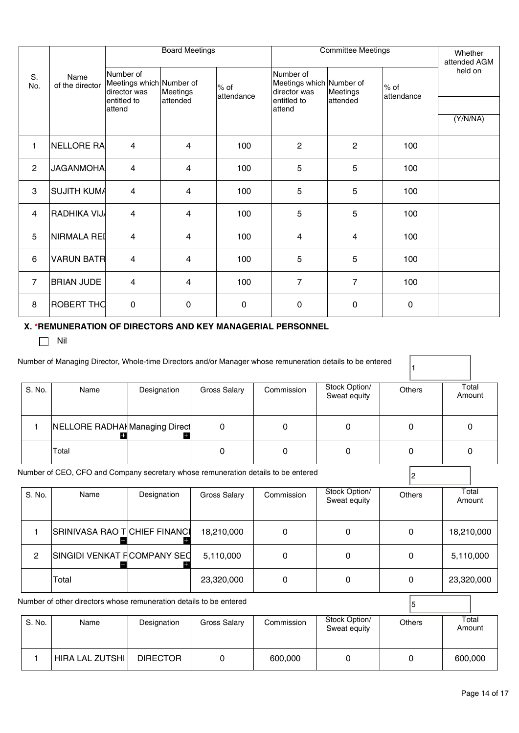|                | Name<br>of the director | <b>Board Meetings</b>                                                                                  |                         |                       | <b>Committee Meetings</b>                             | Whether<br>attended AGM |                      |         |
|----------------|-------------------------|--------------------------------------------------------------------------------------------------------|-------------------------|-----------------------|-------------------------------------------------------|-------------------------|----------------------|---------|
| S.<br>No.      |                         | Number of<br>Meetings which Number of<br>director was<br>Meetings<br>entitled to<br>attended<br>attend |                         | $%$ of<br>lattendance | Number of<br>Meetings which Number of<br>director was | Meetings                | l% of<br>lattendance | held on |
|                |                         |                                                                                                        |                         | entitled to<br>attend | attended                                              |                         | (Y/N/NA)             |         |
| 1              | NELLORE RA              | $\overline{4}$                                                                                         | 4                       | 100                   | $\overline{2}$                                        | $\mathbf{2}$            | 100                  |         |
| $\overline{c}$ | JAGANMOHA               | $\overline{4}$                                                                                         | $\overline{4}$          | 100                   | 5                                                     | 5                       | 100                  |         |
| 3              | SUJITH KUM/             | $\overline{4}$                                                                                         | $\overline{4}$          | 100                   | 5                                                     | 5                       | 100                  |         |
| 4              | RADHIKA VIJ             | $\overline{4}$                                                                                         | 4                       | 100                   | 5                                                     | 5                       | 100                  |         |
| 5              | NIRMALA REI             | 4                                                                                                      | $\overline{\mathbf{4}}$ | 100                   | 4                                                     | 4                       | 100                  |         |
| 6              | <b>VARUN BATR</b>       | 4                                                                                                      | $\overline{4}$          | 100                   | 5                                                     | 5                       | 100                  |         |
| $\overline{7}$ | <b>BRIAN JUDE</b>       | 4                                                                                                      | 4                       | 100                   | $\overline{7}$                                        | $\overline{7}$          | 100                  |         |
| 8              | ROBERT THC              | $\mathsf{O}\xspace$                                                                                    | $\pmb{0}$               | $\mathsf{O}\xspace$   | $\pmb{0}$                                             | 0                       | 0                    |         |

# X. \*REMUNERATION OF DIRECTORS AND KEY MANAGERIAL PERSONNEL

 $\Box$  Nil

|                | Number of Managing Director, Whole-time Directors and/or Manager whose remuneration details to be entered |             |              |              |                               |              |                 |
|----------------|-----------------------------------------------------------------------------------------------------------|-------------|--------------|--------------|-------------------------------|--------------|-----------------|
| S. No.         | Name                                                                                                      | Designation | Gross Salary | Commission   | Stock Option/<br>Sweat equity | Others       | Total<br>Amount |
|                | NELLORE RADHAI Managing Direct                                                                            |             | 0            | 0            | $\Omega$                      | 0            | 0               |
|                | Total                                                                                                     |             | 0            | 0            | 0                             | 0            | 0               |
|                | Number of CEO, CFO and Company secretary whose remuneration details to be entered                         |             |              |              |                               |              |                 |
| S. No.         | Name                                                                                                      | Designation | Gross Salary | Commission   | Stock Option/<br>Sweat equity | Others       | Total<br>Amount |
|                | SRINIVASA RAO T CHIEF FINANCI                                                                             |             | 18,210,000   | $\mathbf{0}$ | $\mathbf 0$                   | 0            | 18,210,000      |
| $\overline{c}$ | SINGIDI VENKAT F COMPANY SEC                                                                              |             | 5,110,000    | $\mathbf{0}$ | $\mathbf 0$                   | $\mathbf{0}$ | 5,110,000       |
|                | Total                                                                                                     |             | 23,320,000   | 0            | $\mathbf 0$                   | $\mathbf{0}$ | 23,320,000      |

Number of other directors whose remuneration details to be entered  $\overline{5}$ 

| S. No. | Name            | Designation     | Gross Salary | Commission | Stock Option/<br>Sweat equity | Others | Total<br>Amount |
|--------|-----------------|-----------------|--------------|------------|-------------------------------|--------|-----------------|
|        | HIRA LAL ZUTSHI | <b>DIRECTOR</b> |              | 600,000    |                               |        | 600,000         |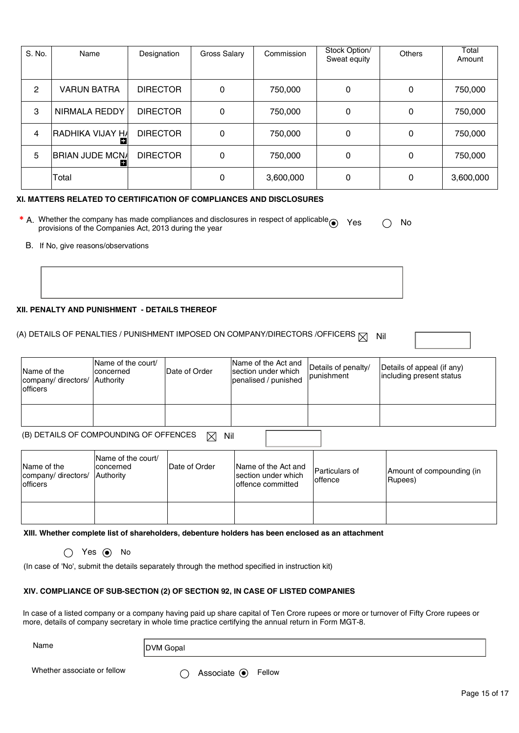| S. No.         | Name                    | Designation     | Gross Salary | Commission | Stock Option/<br>Sweat equity | Others | Total<br>Amount |
|----------------|-------------------------|-----------------|--------------|------------|-------------------------------|--------|-----------------|
| $\overline{c}$ | <b>VARUN BATRA</b>      | <b>DIRECTOR</b> | $\mathbf 0$  | 750,000    | 0                             | 0      | 750,000         |
| 3              | NIRMALA REDDY           | <b>DIRECTOR</b> | $\Omega$     | 750,000    | $\mathbf{0}$                  |        | 750,000         |
| 4              | <b>RADHIKA VIJAY HA</b> | <b>DIRECTOR</b> | 0            | 750,000    | 0                             | 0      | 750,000         |
| 5              | <b>BRIAN JUDE MCNA</b>  | <b>DIRECTOR</b> | 0            | 750,000    | 0                             | 0      | 750,000         |
|                | Total                   |                 | 0            | 3,600,000  | 0                             | 0      | 3,600,000       |

### XI. MATTERS RELATED TO CERTIFICATION OF COMPLIANCES AND DISCLOSURES

- <sup>\*</sup> A. Whether the company has made compliances and disclosures in respect of applicable  $\bigcap_{k=1}^{\infty}$ **\*** A. Whether the company has made compliances and disclosures in respect of applicable  $\odot$  Yes  $\odot$  No provisions of the Companies Act, 2013 during the year B. If No, give reasons/observations
	- B. If No, give reasons/observations

### XII. PENALTY AND PUNISHMENT - DETAILS THEREOF

# (A) DETAILS OF PENALTIES / PUNISHMENT IMPOSED ON COMPANY/DIRECTORS /OFFICERS  $\boxtimes$  Nil

| Name of the<br>company/ directors/<br><b>lofficers</b> | Name of the court/<br>Iconcerned<br>Authority | Date of Order | Name of the Act and<br>section under which<br>penalised / punished | Details of penalty/<br>punishment | Details of appeal (if any)<br>including present status |
|--------------------------------------------------------|-----------------------------------------------|---------------|--------------------------------------------------------------------|-----------------------------------|--------------------------------------------------------|
|                                                        |                                               |               |                                                                    |                                   |                                                        |
|                                                        | (B) DETAILS OF COMPOUNDING OF OFFENCES        | M<br>Nil      |                                                                    |                                   |                                                        |

| Name of the<br>company/ directors/ Authority<br><b>lofficers</b> | Name of the court/<br>Iconcerned | Date of Order | Name of the Act and<br>section under which<br>loffence committed | <b>Particulars of</b><br>loffence | Amount of compounding (in<br>(Rupees) |  |
|------------------------------------------------------------------|----------------------------------|---------------|------------------------------------------------------------------|-----------------------------------|---------------------------------------|--|
|                                                                  |                                  |               |                                                                  |                                   |                                       |  |

XIII. Whether complete list of shareholders, debenture holders has been enclosed as an attachment

 $\bigcap$  Yes  $\bigcirc$  No

(In case of 'No', submit the details separately through the method specified in instruction kit)

### XIV. COMPLIANCE OF SUB-SECTION (2) OF SECTION 92, IN CASE OF LISTED COMPANIES

In case of a listed company or a company having paid up share capital of Ten Crore rupees or more or turnover of Fifty Crore rupees or more, details of company secretary in whole time practice certifying the annual return in Form MGT-8. In case of a listed company or a company having paid up share capital of Ten Crore rupees or more or turnomore, details of company secretary in whole time practice certifying the annual return in Form MGT-8.<br>
Name DVM Gop

Name DVM Gopal

Whether associate or fellow <br>  $\bigcirc$  Associate  $\bigcirc$  Fellow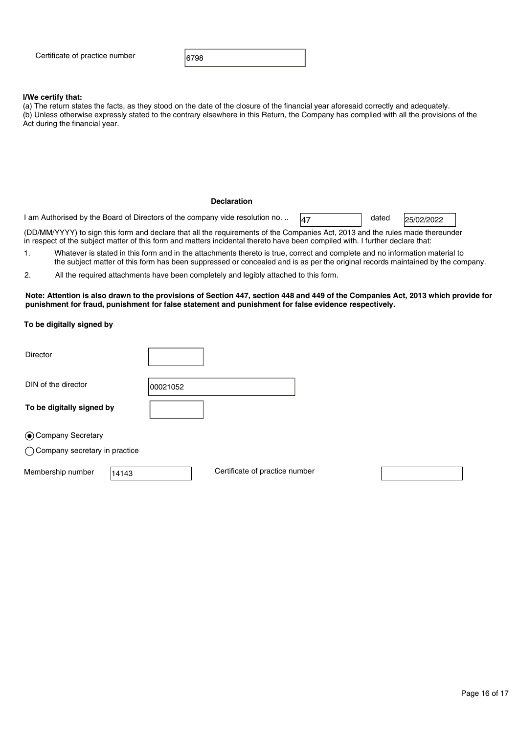Certificate of practice number  $\vert$  6798

### I/We certify that:

(a) The return states the facts, as they stood on the date of the closure of the financial year aforesaid correctly and adequately. (b) Unless otherwise expressly stated to the contrary elsewhere in this Return, the Company has complied with all the provisions of the Act during the financial year.

### Declaration

1 am Authorised by the Board of Directors of the company vide resolution no. ..  $\frac{47}{47}$  dated

25/02/2022

(DD/MM/YYYY) to sign this form and declare that all the requirements of the Companies Act, 2013 and the rules made thereunder in respect of the subject matter of this form and matters incidental thereto have been compiled with. I further declare that:

1. Whatever is stated in this form and in the attachments thereto is true, correct and complete and no information material to the subject matter of this form has been suppressed or concealed and is as per the original records maintained by the company.

2. All the required attachments have been completely and legibly attached to this form.

Note: Attention is also drawn to the provisions of Section 447, section 448 and 449 of the Companies Act, 2013 which provide for punishment for fraud, punishment for false statement and punishment for false evidence respectively. To be digitally signed by

| Director                                 |                                |
|------------------------------------------|--------------------------------|
| DIN of the director                      | 00021052                       |
| To be digitally signed by                |                                |
| ⊙ Company Secretary                      |                                |
| $\bigcirc$ Company secretary in practice |                                |
| Membership number<br>14143               | Certificate of practice number |